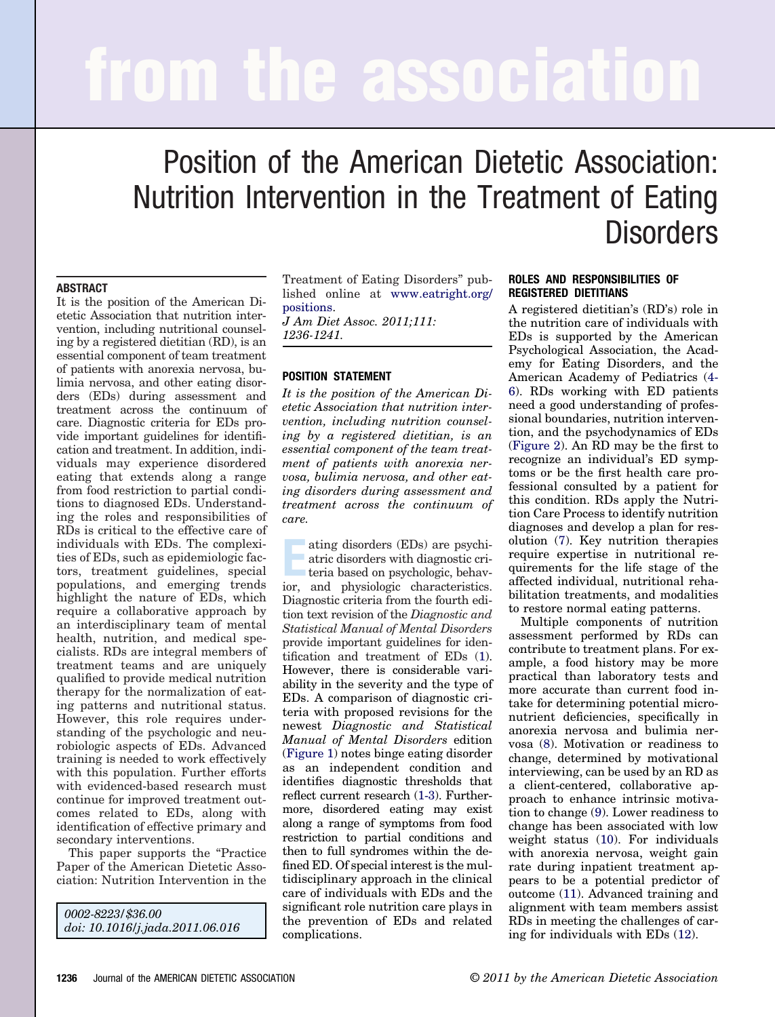# **from the association**

# Position of the American Dietetic Association: Nutrition Intervention in the Treatment of Eating **Disorders**

# **ABSTRACT**

It is the position of the American Dietetic Association that nutrition intervention, including nutritional counseling by a registered dietitian (RD), is an essential component of team treatment of patients with anorexia nervosa, bulimia nervosa, and other eating disorders (EDs) during assessment and treatment across the continuum of care. Diagnostic criteria for EDs provide important guidelines for identification and treatment. In addition, individuals may experience disordered eating that extends along a range from food restriction to partial conditions to diagnosed EDs. Understanding the roles and responsibilities of RDs is critical to the effective care of individuals with EDs. The complexities of EDs, such as epidemiologic factors, treatment guidelines, special populations, and emerging trends highlight the nature of EDs, which require a collaborative approach by an interdisciplinary team of mental health, nutrition, and medical specialists. RDs are integral members of treatment teams and are uniquely qualified to provide medical nutrition therapy for the normalization of eating patterns and nutritional status. However, this role requires understanding of the psychologic and neurobiologic aspects of EDs. Advanced training is needed to work effectively with this population. Further efforts with evidenced-based research must continue for improved treatment outcomes related to EDs, along with identification of effective primary and secondary interventions.

This paper supports the "Practice Paper of the American Dietetic Association: Nutrition Intervention in the

*0002-8223/\$36.00 doi: 10.1016/j.jada.2011.06.016*

Treatment of Eating Disorders" published online at [www.eatright.org/](http://www.eatright.org/positions) [positions.](http://www.eatright.org/positions)

*J Am Diet Assoc. 2011;111: 1236-1241.*

# **POSITION STATEMENT**

*It is the position of the American Dietetic Association that nutrition intervention, including nutrition counseling by a registered dietitian, is an essential component of the team treatment of patients with anorexia nervosa, bulimia nervosa, and other eating disorders during assessment and treatment across the continuum of care.*

ating disorders (EDs) are psychi-<br>atric disorders with diagnostic cri-<br>teria based on psychologic, behav-<br>ior, and physiologic characteristics. ating disorders (EDs) are psychiatric disorders with diagnostic criteria based on psychologic, behav-Diagnostic criteria from the fourth edition text revision of the *Diagnostic and Statistical Manual of Mental Disorders* provide important guidelines for identification and treatment of EDs [\(1\)](#page-4-0). However, there is considerable variability in the severity and the type of EDs. A comparison of diagnostic criteria with proposed revisions for the newest *Diagnostic and Statistical Manual of Mental Disorders* edition [\(Figure 1\)](#page-1-0) notes binge eating disorder as an independent condition and identifies diagnostic thresholds that reflect current research [\(1-3\)](#page-4-0). Furthermore, disordered eating may exist along a range of symptoms from food restriction to partial conditions and then to full syndromes within the defined ED. Of special interest is the multidisciplinary approach in the clinical care of individuals with EDs and the significant role nutrition care plays in the prevention of EDs and related complications.

# **ROLES AND RESPONSIBILITIES OF REGISTERED DIETITIANS**

A registered dietitian's (RD's) role in the nutrition care of individuals with EDs is supported by the American Psychological Association, the Academy for Eating Disorders, and the American Academy of Pediatrics [\(4-](#page-4-1) [6\)](#page-4-1). RDs working with ED patients need a good understanding of professional boundaries, nutrition intervention, and the psychodynamics of EDs [\(Figure 2\)](#page-2-0). An RD may be the first to recognize an individual's ED symptoms or be the first health care professional consulted by a patient for this condition. RDs apply the Nutrition Care Process to identify nutrition diagnoses and develop a plan for resolution [\(7\)](#page-4-2). Key nutrition therapies require expertise in nutritional requirements for the life stage of the affected individual, nutritional rehabilitation treatments, and modalities to restore normal eating patterns.

Multiple components of nutrition assessment performed by RDs can contribute to treatment plans. For example, a food history may be more practical than laboratory tests and more accurate than current food intake for determining potential micronutrient deficiencies, specifically in anorexia nervosa and bulimia nervosa [\(8\)](#page-4-3). Motivation or readiness to change, determined by motivational interviewing, can be used by an RD as a client-centered, collaborative approach to enhance intrinsic motivation to change [\(9\)](#page-4-4). Lower readiness to change has been associated with low weight status [\(10\)](#page-4-5). For individuals with anorexia nervosa, weight gain rate during inpatient treatment appears to be a potential predictor of outcome [\(11\)](#page-4-6). Advanced training and alignment with team members assist RDs in meeting the challenges of caring for individuals with EDs [\(12\)](#page-4-7).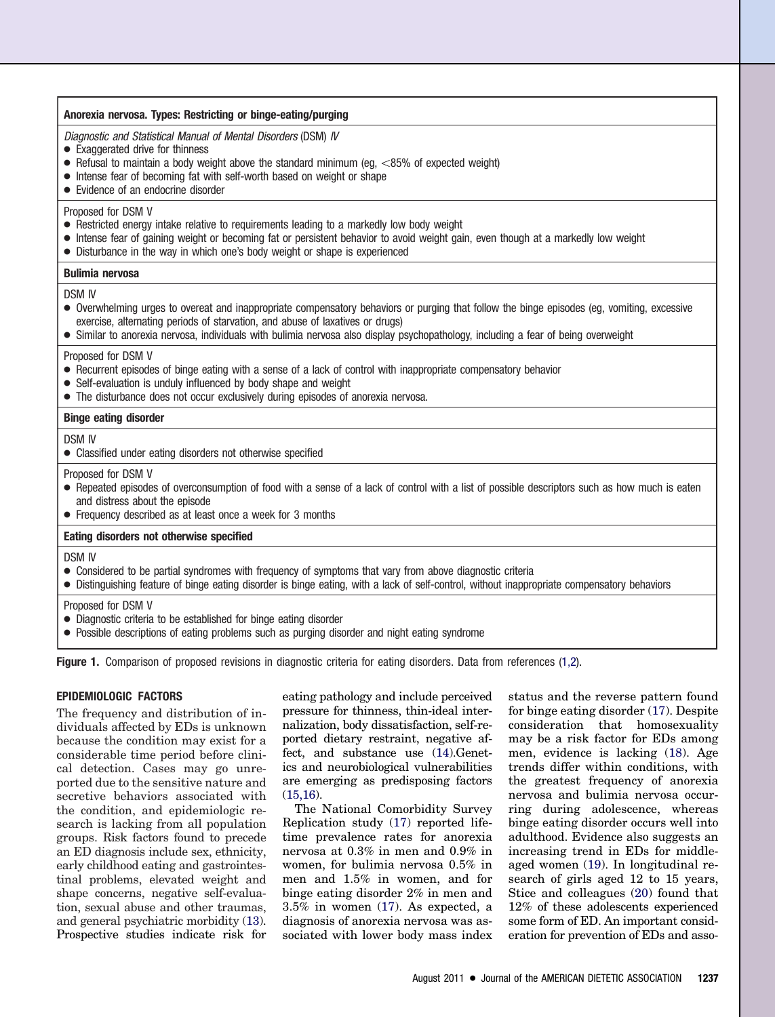#### **Anorexia nervosa. Types: Restricting or binge-eating/purging**

Diagnostic and Statistical Manual of Mental Disorders (DSM) IV

- Exaggerated drive for thinness
- Refusal to maintain a body weight above the standard minimum (eg,  $<85\%$  of expected weight)
- Intense fear of becoming fat with self-worth based on weight or shape
- Evidence of an endocrine disorder

# Proposed for DSM V

- Restricted energy intake relative to requirements leading to a markedly low body weight
- Intense fear of gaining weight or becoming fat or persistent behavior to avoid weight gain, even though at a markedly low weight
- Disturbance in the way in which one's body weight or shape is experienced

#### **Bulimia nervosa**

DSM IV

- Overwhelming urges to overeat and inappropriate compensatory behaviors or purging that follow the binge episodes (eg, vomiting, excessive exercise, alternating periods of starvation, and abuse of laxatives or drugs)
- Similar to anorexia nervosa, individuals with bulimia nervosa also display psychopathology, including a fear of being overweight

#### Proposed for DSM V

- Recurrent episodes of binge eating with a sense of a lack of control with inappropriate compensatory behavior
- Self-evaluation is unduly influenced by body shape and weight
- The disturbance does not occur exclusively during episodes of anorexia nervosa.

#### **Binge eating disorder**

DSM IV

● Classified under eating disorders not otherwise specified

Proposed for DSM V

- Repeated episodes of overconsumption of food with a sense of a lack of control with a list of possible descriptors such as how much is eaten and distress about the episode
- Frequency described as at least once a week for 3 months

# **Eating disorders not otherwise specified**

DSM IV

- Considered to be partial syndromes with frequency of symptoms that vary from above diagnostic criteria
- Distinguishing feature of binge eating disorder is binge eating, with a lack of self-control, without inappropriate compensatory behaviors

Proposed for DSM V

- Diagnostic criteria to be established for binge eating disorder
- Possible descriptions of eating problems such as purging disorder and night eating syndrome

<span id="page-1-0"></span>**Figure 1.** Comparison of proposed revisions in diagnostic criteria for eating disorders. Data from references [\(1,2\)](#page-4-0).

# **EPIDEMIOLOGIC FACTORS**

The frequency and distribution of individuals affected by EDs is unknown because the condition may exist for a considerable time period before clinical detection. Cases may go unreported due to the sensitive nature and secretive behaviors associated with the condition, and epidemiologic research is lacking from all population groups. Risk factors found to precede an ED diagnosis include sex, ethnicity, early childhood eating and gastrointestinal problems, elevated weight and shape concerns, negative self-evaluation, sexual abuse and other traumas, and general psychiatric morbidity [\(13\)](#page-4-8). Prospective studies indicate risk for

eating pathology and include perceived pressure for thinness, thin-ideal internalization, body dissatisfaction, self-reported dietary restraint, negative affect, and substance use [\(14\)](#page-4-9).Genetics and neurobiological vulnerabilities are emerging as predisposing factors [\(15,16\)](#page-4-10).

The National Comorbidity Survey Replication study [\(17\)](#page-4-11) reported lifetime prevalence rates for anorexia nervosa at 0.3% in men and 0.9% in women, for bulimia nervosa 0.5% in men and 1.5% in women, and for binge eating disorder 2% in men and 3.5% in women [\(17\)](#page-4-11). As expected, a diagnosis of anorexia nervosa was associated with lower body mass index

status and the reverse pattern found for binge eating disorder [\(17\)](#page-4-11). Despite consideration that homosexuality may be a risk factor for EDs among men, evidence is lacking [\(18\)](#page-4-12). Age trends differ within conditions, with the greatest frequency of anorexia nervosa and bulimia nervosa occurring during adolescence, whereas binge eating disorder occurs well into adulthood. Evidence also suggests an increasing trend in EDs for middleaged women [\(19\)](#page-4-13). In longitudinal research of girls aged 12 to 15 years, Stice and colleagues [\(20\)](#page-4-14) found that 12% of these adolescents experienced some form of ED. An important consideration for prevention of EDs and asso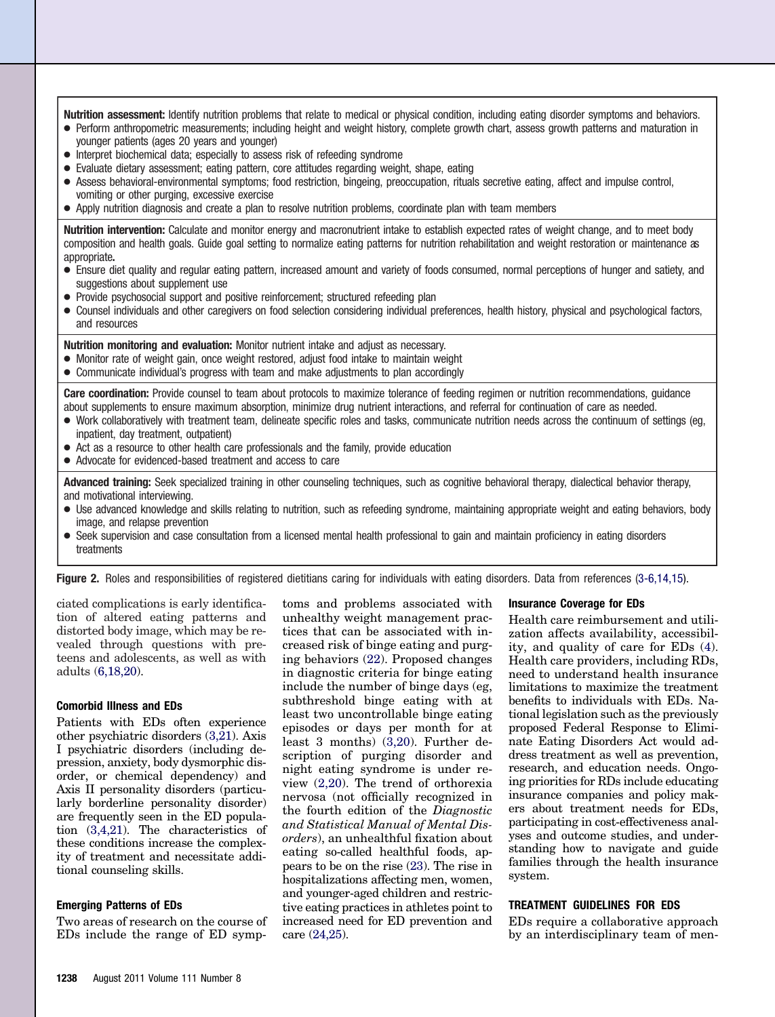**Nutrition assessment:** Identify nutrition problems that relate to medical or physical condition, including eating disorder symptoms and behaviors. ● Perform anthropometric measurements; including height and weight history, complete growth chart, assess growth patterns and maturation in younger patients (ages 20 years and younger)

- Interpret biochemical data; especially to assess risk of refeeding syndrome
- Evaluate dietary assessment; eating pattern, core attitudes regarding weight, shape, eating
- Assess behavioral-environmental symptoms; food restriction, bingeing, preoccupation, rituals secretive eating, affect and impulse control, vomiting or other purging, excessive exercise
- Apply nutrition diagnosis and create a plan to resolve nutrition problems, coordinate plan with team members

**Nutrition intervention:** Calculate and monitor energy and macronutrient intake to establish expected rates of weight change, and to meet body composition and health goals. Guide goal setting to normalize eating patterns for nutrition rehabilitation and weight restoration or maintenance as appropriate**.**

- Ensure diet quality and regular eating pattern, increased amount and variety of foods consumed, normal perceptions of hunger and satiety, and suggestions about supplement use
- Provide psychosocial support and positive reinforcement; structured refeeding plan
- Counsel individuals and other caregivers on food selection considering individual preferences, health history, physical and psychological factors, and resources

**Nutrition monitoring and evaluation:** Monitor nutrient intake and adjust as necessary.

- Monitor rate of weight gain, once weight restored, adjust food intake to maintain weight
- Communicate individual's progress with team and make adjustments to plan accordingly

**Care coordination:** Provide counsel to team about protocols to maximize tolerance of feeding regimen or nutrition recommendations, guidance about supplements to ensure maximum absorption, minimize drug nutrient interactions, and referral for continuation of care as needed.

- Work collaboratively with treatment team, delineate specific roles and tasks, communicate nutrition needs across the continuum of settings (eg, inpatient, day treatment, outpatient)
- Act as a resource to other health care professionals and the family, provide education
- Advocate for evidenced-based treatment and access to care

**Advanced training:** Seek specialized training in other counseling techniques, such as cognitive behavioral therapy, dialectical behavior therapy, and motivational interviewing.

- Use advanced knowledge and skills relating to nutrition, such as refeeding syndrome, maintaining appropriate weight and eating behaviors, body image, and relapse prevention
- Seek supervision and case consultation from a licensed mental health professional to gain and maintain proficiency in eating disorders treatments

<span id="page-2-0"></span>Figure 2. Roles and responsibilities of registered dietitians caring for individuals with eating disorders. Data from references [\(3-6,14,15\)](#page-4-16).

ciated complications is early identification of altered eating patterns and distorted body image, which may be revealed through questions with preteens and adolescents, as well as with adults [\(6,18,20\)](#page-4-15).

#### **Comorbid Illness and EDs**

Patients with EDs often experience other psychiatric disorders [\(3,21\)](#page-4-16). Axis I psychiatric disorders (including depression, anxiety, body dysmorphic disorder, or chemical dependency) and Axis II personality disorders (particularly borderline personality disorder) are frequently seen in the ED population [\(3,4,21\)](#page-4-16). The characteristics of these conditions increase the complexity of treatment and necessitate additional counseling skills.

#### **Emerging Patterns of EDs**

Two areas of research on the course of EDs include the range of ED symp-

toms and problems associated with unhealthy weight management practices that can be associated with increased risk of binge eating and purging behaviors [\(22\)](#page-4-17). Proposed changes in diagnostic criteria for binge eating include the number of binge days (eg, subthreshold binge eating with at least two uncontrollable binge eating episodes or days per month for at least 3 months) [\(3,20\)](#page-4-16). Further description of purging disorder and night eating syndrome is under review [\(2,20\)](#page-4-18). The trend of orthorexia nervosa (not officially recognized in the fourth edition of the *Diagnostic and Statistical Manual of Mental Disorders*), an unhealthful fixation about eating so-called healthful foods, appears to be on the rise [\(23\)](#page-4-19). The rise in hospitalizations affecting men, women, and younger-aged children and restrictive eating practices in athletes point to increased need for ED prevention and care [\(24,25\)](#page-4-20).

#### **Insurance Coverage for EDs**

Health care reimbursement and utilization affects availability, accessibility, and quality of care for EDs [\(4\)](#page-4-1). Health care providers, including RDs, need to understand health insurance limitations to maximize the treatment benefits to individuals with EDs. National legislation such as the previously proposed Federal Response to Eliminate Eating Disorders Act would address treatment as well as prevention, research, and education needs. Ongoing priorities for RDs include educating insurance companies and policy makers about treatment needs for EDs, participating in cost-effectiveness analyses and outcome studies, and understanding how to navigate and guide families through the health insurance system.

#### **TREATMENT GUIDELINES FOR EDS**

EDs require a collaborative approach by an interdisciplinary team of men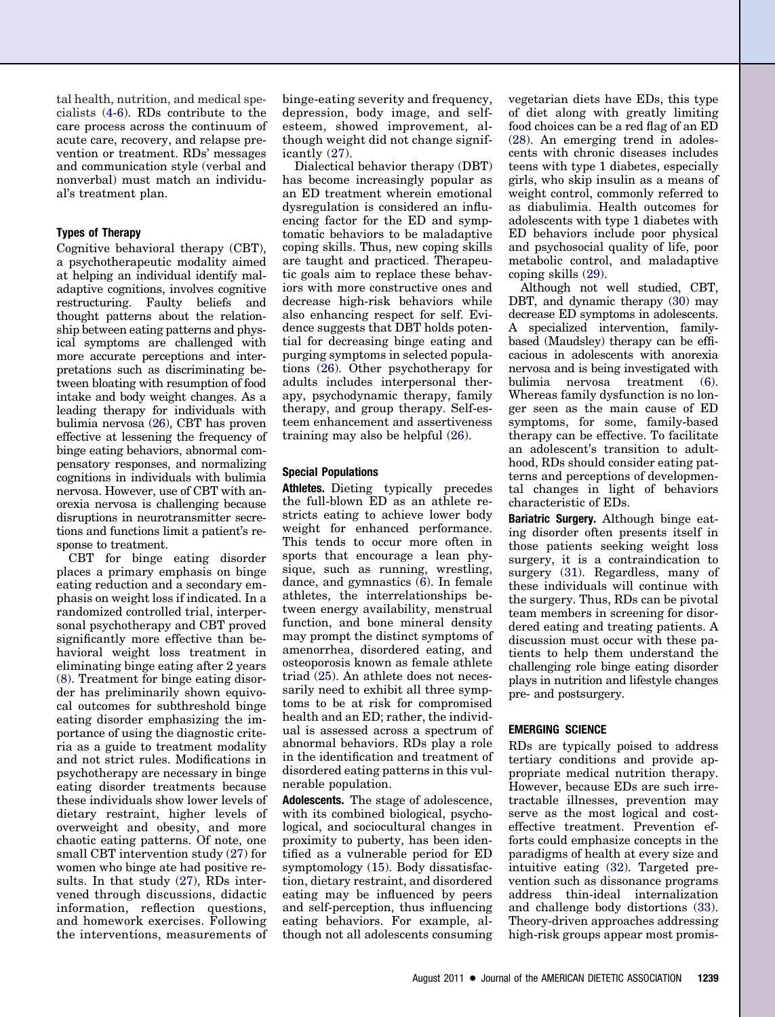tal health, nutrition, and medical specialists [\(4-6\)](#page-4-1). RDs contribute to the care process across the continuum of acute care, recovery, and relapse prevention or treatment. RDs' messages and communication style (verbal and nonverbal) must match an individual's treatment plan.

# **Types of Therapy**

Cognitive behavioral therapy (CBT), a psychotherapeutic modality aimed at helping an individual identify maladaptive cognitions, involves cognitive restructuring. Faulty beliefs and thought patterns about the relationship between eating patterns and physical symptoms are challenged with more accurate perceptions and interpretations such as discriminating between bloating with resumption of food intake and body weight changes. As a leading therapy for individuals with bulimia nervosa [\(26\)](#page-4-21), CBT has proven effective at lessening the frequency of binge eating behaviors, abnormal compensatory responses, and normalizing cognitions in individuals with bulimia nervosa. However, use of CBT with anorexia nervosa is challenging because disruptions in neurotransmitter secretions and functions limit a patient's response to treatment.

CBT for binge eating disorder places a primary emphasis on binge eating reduction and a secondary emphasis on weight loss if indicated. In a randomized controlled trial, interpersonal psychotherapy and CBT proved significantly more effective than behavioral weight loss treatment in eliminating binge eating after 2 years [\(8\)](#page-4-3). Treatment for binge eating disorder has preliminarily shown equivocal outcomes for subthreshold binge eating disorder emphasizing the importance of using the diagnostic criteria as a guide to treatment modality and not strict rules. Modifications in psychotherapy are necessary in binge eating disorder treatments because these individuals show lower levels of dietary restraint, higher levels of overweight and obesity, and more chaotic eating patterns. Of note, one small CBT intervention study [\(27\)](#page-5-0) for women who binge ate had positive results. In that study [\(27\)](#page-5-0), RDs intervened through discussions, didactic information, reflection questions, and homework exercises. Following the interventions, measurements of binge-eating severity and frequency, depression, body image, and selfesteem, showed improvement, although weight did not change significantly [\(27\)](#page-5-0).

Dialectical behavior therapy (DBT) has become increasingly popular as an ED treatment wherein emotional dysregulation is considered an influencing factor for the ED and symptomatic behaviors to be maladaptive coping skills. Thus, new coping skills are taught and practiced. Therapeutic goals aim to replace these behaviors with more constructive ones and decrease high-risk behaviors while also enhancing respect for self. Evidence suggests that DBT holds potential for decreasing binge eating and purging symptoms in selected populations [\(26\)](#page-4-21). Other psychotherapy for adults includes interpersonal therapy, psychodynamic therapy, family therapy, and group therapy. Self-esteem enhancement and assertiveness training may also be helpful [\(26\)](#page-4-21).

# **Special Populations**

**Athletes.** Dieting typically precedes the full-blown ED as an athlete restricts eating to achieve lower body weight for enhanced performance. This tends to occur more often in sports that encourage a lean physique, such as running, wrestling, dance, and gymnastics [\(6\)](#page-4-15). In female athletes, the interrelationships between energy availability, menstrual function, and bone mineral density may prompt the distinct symptoms of amenorrhea, disordered eating, and osteoporosis known as female athlete triad [\(25\)](#page-4-22). An athlete does not necessarily need to exhibit all three symptoms to be at risk for compromised health and an ED; rather, the individual is assessed across a spectrum of abnormal behaviors. RDs play a role in the identification and treatment of disordered eating patterns in this vulnerable population.

**Adolescents.** The stage of adolescence, with its combined biological, psychological, and sociocultural changes in proximity to puberty, has been identified as a vulnerable period for ED symptomology [\(15\)](#page-4-10). Body dissatisfaction, dietary restraint, and disordered eating may be influenced by peers and self-perception, thus influencing eating behaviors. For example, although not all adolescents consuming

vegetarian diets have EDs, this type of diet along with greatly limiting food choices can be a red flag of an ED [\(28\)](#page-5-1). An emerging trend in adolescents with chronic diseases includes teens with type 1 diabetes, especially girls, who skip insulin as a means of weight control, commonly referred to as diabulimia. Health outcomes for adolescents with type 1 diabetes with ED behaviors include poor physical and psychosocial quality of life, poor metabolic control, and maladaptive coping skills [\(29\)](#page-5-2).

Although not well studied, CBT, DBT, and dynamic therapy [\(30\)](#page-5-3) may decrease ED symptoms in adolescents. A specialized intervention, familybased (Maudsley) therapy can be efficacious in adolescents with anorexia nervosa and is being investigated with<br>bulimia nervosa treatment (6). http://ex.com/merrosa treatment [\(6\)](#page-4-15). Whereas family dysfunction is no longer seen as the main cause of ED symptoms, for some, family-based therapy can be effective. To facilitate an adolescent's transition to adulthood, RDs should consider eating patterns and perceptions of developmental changes in light of behaviors characteristic of EDs.

**Bariatric Surgery.** Although binge eating disorder often presents itself in those patients seeking weight loss surgery, it is a contraindication to surgery [\(31\)](#page-5-4). Regardless, many of these individuals will continue with the surgery. Thus, RDs can be pivotal team members in screening for disordered eating and treating patients. A discussion must occur with these patients to help them understand the challenging role binge eating disorder plays in nutrition and lifestyle changes pre- and postsurgery.

# **EMERGING SCIENCE**

RDs are typically poised to address tertiary conditions and provide appropriate medical nutrition therapy. However, because EDs are such irretractable illnesses, prevention may serve as the most logical and costeffective treatment. Prevention efforts could emphasize concepts in the paradigms of health at every size and intuitive eating [\(32\)](#page-5-5). Targeted prevention such as dissonance programs address thin-ideal internalization and challenge body distortions [\(33\)](#page-5-6). Theory-driven approaches addressing high-risk groups appear most promis-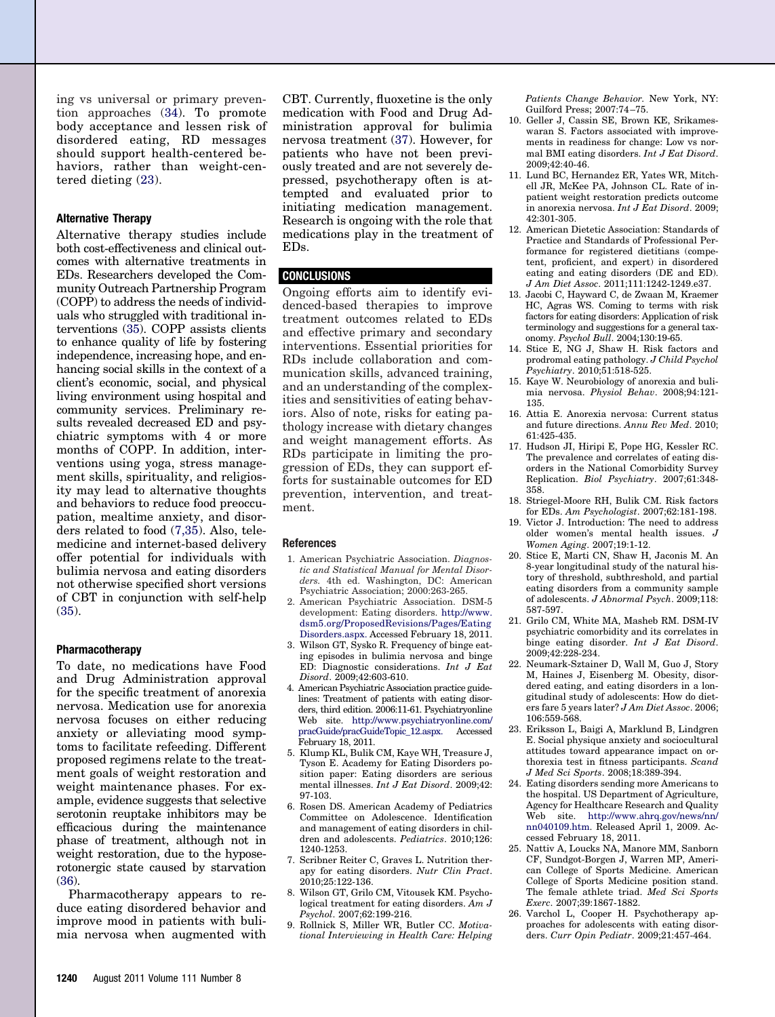ing vs universal or primary prevention approaches [\(34\)](#page-5-7). To promote body acceptance and lessen risk of disordered eating, RD messages should support health-centered behaviors, rather than weight-centered dieting [\(23\)](#page-4-19).

#### **Alternative Therapy**

Alternative therapy studies include both cost-effectiveness and clinical outcomes with alternative treatments in EDs. Researchers developed the Community Outreach Partnership Program (COPP) to address the needs of individuals who struggled with traditional interventions [\(35\)](#page-5-8). COPP assists clients to enhance quality of life by fostering independence, increasing hope, and enhancing social skills in the context of a client's economic, social, and physical living environment using hospital and community services. Preliminary results revealed decreased ED and psychiatric symptoms with 4 or more months of COPP. In addition, interventions using yoga, stress management skills, spirituality, and religiosity may lead to alternative thoughts and behaviors to reduce food preoccupation, mealtime anxiety, and disorders related to food [\(7,35\)](#page-4-2). Also, telemedicine and internet-based delivery offer potential for individuals with bulimia nervosa and eating disorders not otherwise specified short versions of CBT in conjunction with self-help [\(35\)](#page-5-8).

#### **Pharmacotherapy**

To date, no medications have Food and Drug Administration approval for the specific treatment of anorexia nervosa. Medication use for anorexia nervosa focuses on either reducing anxiety or alleviating mood symptoms to facilitate refeeding. Different proposed regimens relate to the treatment goals of weight restoration and weight maintenance phases. For example, evidence suggests that selective serotonin reuptake inhibitors may be efficacious during the maintenance phase of treatment, although not in weight restoration, due to the hyposerotonergic state caused by starvation  $(36)$ .

Pharmacotherapy appears to reduce eating disordered behavior and improve mood in patients with bulimia nervosa when augmented with

CBT. Currently, fluoxetine is the only medication with Food and Drug Administration approval for bulimia nervosa treatment [\(37\)](#page-5-10). However, for patients who have not been previously treated and are not severely depressed, psychotherapy often is attempted and evaluated prior to initiating medication management. Research is ongoing with the role that medications play in the treatment of EDs.

# **CONCLUSIONS**

Ongoing efforts aim to identify evidenced-based therapies to improve treatment outcomes related to EDs and effective primary and secondary interventions. Essential priorities for RDs include collaboration and communication skills, advanced training, and an understanding of the complexities and sensitivities of eating behaviors. Also of note, risks for eating pathology increase with dietary changes and weight management efforts. As RDs participate in limiting the progression of EDs, they can support efforts for sustainable outcomes for ED prevention, intervention, and treatment.

#### <span id="page-4-0"></span>**References**

- 1. American Psychiatric Association. *Diagnostic and Statistical Manual for Mental Disorders.* 4th ed. Washington, DC: American Psychiatric Association; 2000:263-265.
- <span id="page-4-18"></span>2. American Psychiatric Association. DSM-5 development: Eating disorders. [http://www.](http://www.dsm5.org/ProposedRevisions/Pages/EatingDisorders.aspx) [dsm5.org/ProposedRevisions/Pages/Eating](http://www.dsm5.org/ProposedRevisions/Pages/EatingDisorders.aspx) [Disorders.aspx.](http://www.dsm5.org/ProposedRevisions/Pages/EatingDisorders.aspx) Accessed February 18, 2011.
- <span id="page-4-16"></span>3. Wilson GT, Sysko R. Frequency of binge eating episodes in bulimia nervosa and binge ED: Diagnostic considerations. *Int J Eat Disord*. 2009;42:603-610.
- <span id="page-4-1"></span>4. American Psychiatric Association practice guidelines: Treatment of patients with eating disorders, third edition. 2006:11-61. Psychiatryonline Web site. [http://www.psychiatryonline.com/](http://www.psychiatryonline.com/pracGuide/pracGuideTopic_12.aspx) [pracGuide/pracGuideTopic\\_12.aspx.](http://www.psychiatryonline.com/pracGuide/pracGuideTopic_12.aspx) Accessed February 18, 2011.
- 5. Klump KL, Bulik CM, Kaye WH, Treasure J, Tyson E. Academy for Eating Disorders position paper: Eating disorders are serious mental illnesses. *Int J Eat Disord*. 2009;42: 97-103.
- <span id="page-4-15"></span>6. Rosen DS. American Academy of Pediatrics Committee on Adolescence. Identification and management of eating disorders in children and adolescents. *Pediatrics*. 2010;126: 1240-1253.
- <span id="page-4-3"></span><span id="page-4-2"></span>7. Scribner Reiter C, Graves L. Nutrition therapy for eating disorders. *Nutr Clin Pract*. 2010;25:122-136.
- <span id="page-4-4"></span>8. Wilson GT, Grilo CM, Vitousek KM. Psychological treatment for eating disorders. *Am J Psychol*. 2007;62:199-216.
- 9. Rollnick S, Miller WR, Butler CC. *Motivational Interviewing in Health Care: Helping*

*Patients Change Behavior.* New York, NY: Guilford Press; 2007:74 –75.

- <span id="page-4-5"></span>10. Geller J, Cassin SE, Brown KE, Srikameswaran S. Factors associated with improvements in readiness for change: Low vs normal BMI eating disorders. *Int J Eat Disord*. 2009;42:40-46.
- <span id="page-4-6"></span>11. Lund BC, Hernandez ER, Yates WR, Mitchell JR, McKee PA, Johnson CL. Rate of inpatient weight restoration predicts outcome in anorexia nervosa. *Int J Eat Disord*. 2009; 42:301-305.
- <span id="page-4-7"></span>12. American Dietetic Association: Standards of Practice and Standards of Professional Performance for registered dietitians (competent, proficient, and expert) in disordered eating and eating disorders (DE and ED). *J Am Diet Assoc*. 2011;111:1242-1249.e37.
- <span id="page-4-8"></span>13. Jacobi C, Hayward C, de Zwaan M, Kraemer HC, Agras WS. Coming to terms with risk factors for eating disorders: Application of risk terminology and suggestions for a general taxonomy. *Psychol Bull*. 2004;130:19-65.
- <span id="page-4-9"></span>14. Stice E, NG J, Shaw H. Risk factors and prodromal eating pathology. *J Child Psychol Psychiatry*. 2010;51:518-525.
- <span id="page-4-10"></span>15. Kaye W. Neurobiology of anorexia and bulimia nervosa. *Physiol Behav*. 2008;94:121- 135.
- 16. Attia E. Anorexia nervosa: Current status and future directions. *Annu Rev Med*. 2010; 61:425-435.
- <span id="page-4-11"></span>17. Hudson JI, Hiripi E, Pope HG, Kessler RC. The prevalence and correlates of eating disorders in the National Comorbidity Survey Replication. *Biol Psychiatry*. 2007;61:348- 358.
- <span id="page-4-13"></span><span id="page-4-12"></span>18. Striegel-Moore RH, Bulik CM. Risk factors for EDs. *Am Psychologist*. 2007;62:181-198.
- 19. Victor J. Introduction: The need to address older women's mental health issues. *J Women Aging*. 2007;19:1-12.
- <span id="page-4-14"></span>20. Stice E, Marti CN, Shaw H, Jaconis M. An 8-year longitudinal study of the natural history of threshold, subthreshold, and partial eating disorders from a community sample of adolescents. *J Abnormal Psych*. 2009;118: 587-597.
- 21. Grilo CM, White MA, Masheb RM. DSM-IV psychiatric comorbidity and its correlates in binge eating disorder. *Int J Eat Disord*. 2009;42:228-234.
- <span id="page-4-17"></span>22. Neumark-Sztainer D, Wall M, Guo J, Story M, Haines J, Eisenberg M. Obesity, disordered eating, and eating disorders in a longitudinal study of adolescents: How do dieters fare 5 years later? *J Am Diet Assoc*. 2006; 106:559-568.
- <span id="page-4-19"></span>23. Eriksson L, Baigi A, Marklund B, Lindgren E. Social physique anxiety and sociocultural attitudes toward appearance impact on orthorexia test in fitness participants. *Scand J Med Sci Sports*. 2008;18:389-394.
- <span id="page-4-20"></span>24. Eating disorders sending more Americans to the hospital. US Department of Agriculture, Agency for Healthcare Research and Quality Web site. [http://www.ahrq.gov/news/nn/](http://www.ahrq.gov/news/nn/nn040109.htm) [nn040109.htm.](http://www.ahrq.gov/news/nn/nn040109.htm) Released April 1, 2009. Accessed February 18, 2011.
- <span id="page-4-22"></span>25. Nattiv A, Loucks NA, Manore MM, Sanborn CF, Sundgot-Borgen J, Warren MP, American College of Sports Medicine. American College of Sports Medicine position stand. The female athlete triad. *Med Sci Sports Exerc*. 2007;39:1867-1882.
- <span id="page-4-21"></span>26. Varchol L, Cooper H. Psychotherapy approaches for adolescents with eating disorders. *Curr Opin Pediatr*. 2009;21:457-464.